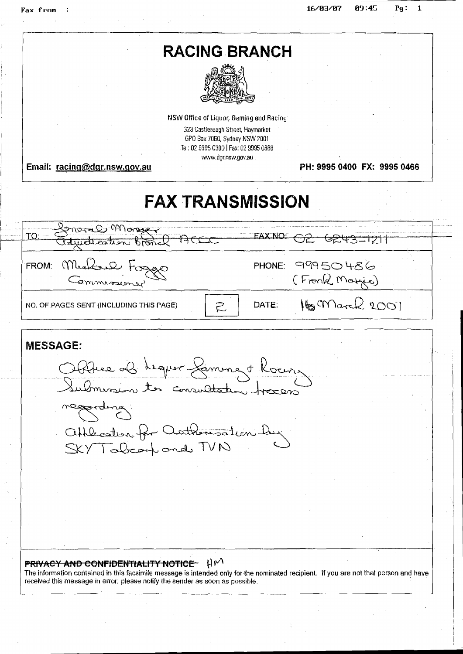I

i

|                                         | <b>RACING BRANCH</b>                                               |       |                             |  |
|-----------------------------------------|--------------------------------------------------------------------|-------|-----------------------------|--|
|                                         |                                                                    |       |                             |  |
|                                         |                                                                    |       |                             |  |
|                                         |                                                                    |       |                             |  |
|                                         |                                                                    |       |                             |  |
|                                         | NSW Office of Liquor, Gaming and Racing                            |       |                             |  |
|                                         | 323 Castlereagh Street, Haymarket<br>GPO Box 7060, Sydney NSW 2001 |       |                             |  |
|                                         | Tel: 02 9995 0300   Fax: 02 9995 0888                              |       |                             |  |
| Email: racing@dgr.nsw.gov.au            | www.dgr.nsw.gov.au                                                 |       | PH: 9995 0400 FX: 9995 0466 |  |
|                                         |                                                                    |       |                             |  |
|                                         |                                                                    |       |                             |  |
|                                         | <b>FAX TRANSMISSION</b>                                            |       |                             |  |
| Kenaral Monger                          |                                                                    |       |                             |  |
| TO:<br>understein bron                  |                                                                    |       | क्टमउन्गटा।                 |  |
|                                         |                                                                    |       |                             |  |
| Michael<br>FROM:                        |                                                                    |       | PHONE: 99950486             |  |
|                                         |                                                                    |       | (Fronk Morris)              |  |
|                                         |                                                                    |       |                             |  |
| NO. OF PAGES SENT (INCLUDING THIS PAGE) | Ź,                                                                 | DATE: | 16 March 2007               |  |
|                                         |                                                                    |       |                             |  |
| <b>MESSAGE:</b>                         |                                                                    |       |                             |  |
|                                         |                                                                    |       |                             |  |
|                                         |                                                                    |       |                             |  |
|                                         |                                                                    |       |                             |  |
|                                         | Stélies als requer Samment Kourre                                  |       |                             |  |
|                                         | Submission to consultation tracers                                 |       |                             |  |
| meggerding.                             |                                                                    |       |                             |  |
|                                         |                                                                    |       |                             |  |
|                                         | Offlecation for authorisation by                                   |       |                             |  |
| SKY Tabearpond TVN                      |                                                                    |       |                             |  |
|                                         |                                                                    |       |                             |  |
|                                         |                                                                    |       |                             |  |
|                                         |                                                                    |       |                             |  |
|                                         |                                                                    |       |                             |  |

## **PRIVACY AND CONFIDENTIALITY NOTICE**  $\forall W$

The information contained in this facsimile message is intended only for.the nominated recipienl. If **you** are not that person ancl have received this message in error, please notify the sender as soon as possible.